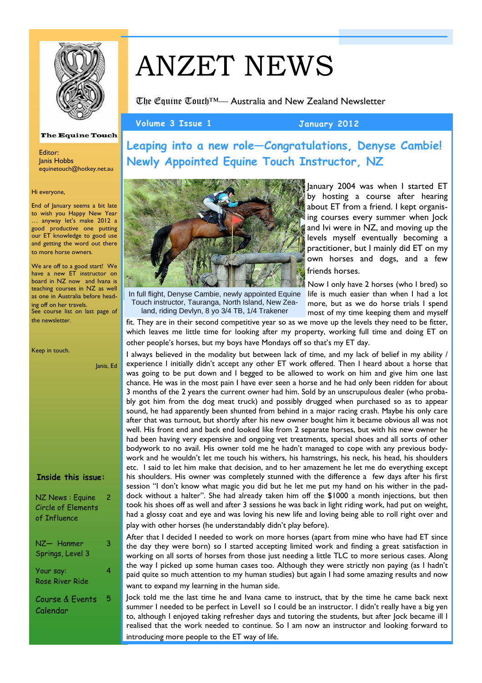

# ANZET NEWS

The Equine Touch™— Australia and New Zealand Newsletter

**Volume 3 Issue 1 January 2012** 

**Leaping into a new role—Congratulations, Denyse Cambie! Newly Appointed Equine Touch Instructor, NZ** 



In full flight, Denyse Cambie, newly appointed Equine Touch instructor, Tauranga, North Island, New Zealand, riding Devlyn, 8 yo 3/4 TB, 1/4 Trakener

January 2004 was when I started ET by hosting a course after hearing about ET from a friend. I kept organising courses every summer when Jock and Ivi were in NZ, and moving up the levels myself eventually becoming a practitioner, but I mainly did ET on my own horses and dogs, and a few friends horses.

Now I only have 2 horses (who I bred) so life is much easier than when I had a lot more, but as we do horse trials I spend most of my time keeping them and myself

fit. They are in their second competitive year so as we move up the levels they need to be fitter, which leaves me little time for looking after my property, working full time and doing ET on other people's horses, but my boys have Mondays off so that's my ET day.

I always believed in the modality but between lack of time, and my lack of belief in my ability / experience I initially didn't accept any other ET work offered. Then I heard about a horse that was going to be put down and I begged to be allowed to work on him and give him one last chance. He was in the most pain I have ever seen a horse and he had only been ridden for about 3 months of the 2 years the current owner had him. Sold by an unscrupulous dealer (who probably got him from the dog meat truck) and possibly drugged when purchased so as to appear sound, he had apparently been shunted from behind in a major racing crash. Maybe his only care after that was turnout, but shortly after his new owner bought him it became obvious all was not well. His front end and back end looked like from 2 separate horses, but with his new owner he had been having very expensive and ongoing vet treatments, special shoes and all sorts of other bodywork to no avail. His owner told me he hadn't managed to cope with any previous bodywork and he wouldn't let me touch his withers, his hamstrings, his neck, his head, his shoulders etc. I said to let him make that decision, and to her amazement he let me do everything except his shoulders. His owner was completely stunned with the difference a few days after his first session "I don't know what magic you did but he let me put my hand on his wither in the paddock without a halter". She had already taken him off the \$1000 a month injections, but then took his shoes off as well and after 3 sessions he was back in light riding work, had put on weight, had a glossy coat and eye and was loving his new life and loving being able to roll right over and play with other horses (he understandably didn't play before).

After that I decided I needed to work on more horses (apart from mine who have had ET since the day they were born) so I started accepting limited work and finding a great satisfaction in working on all sorts of horses from those just needing a little TLC to more serious cases. Along the way I picked up some human cases too. Although they were strictly non paying (as I hadn't paid quite so much attention to my human studies) but again I had some amazing results and now want to expand my learning in the human side.

Jock told me the last time he and Ivana came to instruct, that by the time he came back next summer I needed to be perfect in Level1 so I could be an instructor. I didn't really have a big yen to, although I enjoyed taking refresher days and tutoring the students, but after Jock became ill I realised that the work needed to continue. So I am now an instructor and looking forward to introducing more people to the ET way of life.

#### **The Equine Touch**

Editor: Janis Hobbs equinetouch@hotkey.net.au

#### Hi everyone,

End of January seems a bit late to wish you Happy New Year … anyway let's make 2012 a good productive one putting our ET knowledge to good use and getting the word out there to more horse owners.

We are off to a good start! We have a new ET instructor on board in NZ now and Ivana is teaching courses in NZ as well as one in Australia before heading off on her travels. See course list on last page of

|  | Keep in touch. |  |
|--|----------------|--|
|  |                |  |

the newsletter.

Janis, Ed

| Inside this issue: |  |  |
|--------------------|--|--|
|                    |  |  |

NZ News : Equine Circle of Elements of Influence  $\overline{2}$ NZ— Hanmer Springs, Level 3 3 Your say: 4

Rose River Ride Course & Events 5

Calendar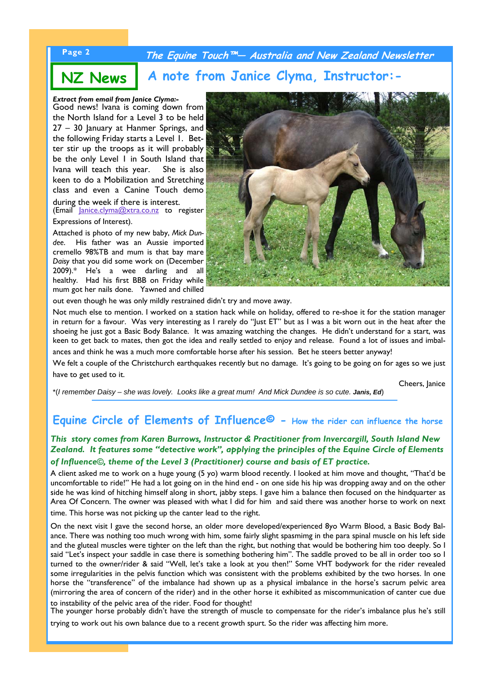### **Page 2 The Equine Touch™— Australia and New Zealand Newsletter**

# **NZ News A note from Janice Clyma, Instructor:-**

#### *Extract from email from Janice Clyma:-*

Good news! Ivana is coming down from the North Island for a Level 3 to be held 27 – 30 January at Hanmer Springs, and the following Friday starts a Level 1. Better stir up the troops as it will probably be the only Level 1 in South Island that Ivana will teach this year. She is also keen to do a Mobilization and Stretching class and even a Canine Touch demo during the week if there is interest.

(Email Janice.clyma@xtra.co.nz to register Expressions of Interest).

Attached is photo of my new baby, *Mick Dundee*. His father was an Aussie imported cremello 98%TB and mum is that bay mare *Daisy* that you did some work on (December 2009).\* He's a wee darling and all healthy. Had his first BBB on Friday while mum got her nails done. Yawned and chilled



out even though he was only mildly restrained didn't try and move away.

Not much else to mention. I worked on a station hack while on holiday, offered to re-shoe it for the station manager in return for a favour. Was very interesting as I rarely do "Just ET" but as I was a bit worn out in the heat after the shoeing he just got a Basic Body Balance. It was amazing watching the changes. He didn't understand for a start, was keen to get back to mates, then got the idea and really settled to enjoy and release. Found a lot of issues and imbalances and think he was a much more comfortable horse after his session. Bet he steers better anyway!

We felt a couple of the Christchurch earthquakes recently but no damage. It's going to be going on for ages so we just have to get used to it.

\*(*I remember Daisy – she was lovely. Looks like a great mum! And Mick Dundee is so cute. Janis, Ed*)

Cheers, Janice

#### **Equine Circle of Elements of Influence© - How the rider can influence the horse**

#### *This story comes from Karen Burrows, Instructor & Practitioner from Invercargill, South Island New Zealand. It features some "detective work", applying the principles of the Equine Circle of Elements of Influence©, theme of the Level 3 (Practitioner) course and basis of ET practice.*

A client asked me to work on a huge young (5 yo) warm blood recently. I looked at him move and thought, "That'd be uncomfortable to ride!" He had a lot going on in the hind end - on one side his hip was dropping away and on the other side he was kind of hitching himself along in short, jabby steps. I gave him a balance then focused on the hindquarter as Area Of Concern. The owner was pleased with what I did for him and said there was another horse to work on next

time. This horse was not picking up the canter lead to the right.

On the next visit I gave the second horse, an older more developed/experienced 8yo Warm Blood, a Basic Body Balance. There was nothing too much wrong with him, some fairly slight spasmimg in the para spinal muscle on his left side and the gluteal muscles were tighter on the left than the right, but nothing that would be bothering him too deeply. So I said "Let's inspect your saddle in case there is something bothering him". The saddle proved to be all in order too so I turned to the owner/rider & said "Well, let's take a look at you then!" Some VHT bodywork for the rider revealed some irregularities in the pelvis function which was consistent with the problems exhibited by the two horses. In one horse the "transference" of the imbalance had shown up as a physical imbalance in the horse's sacrum pelvic area (mirroring the area of concern of the rider) and in the other horse it exhibited as miscommunication of canter cue due to instability of the pelvic area of the rider. Food for thought!

The younger horse probably didn't have the strength of muscle to compensate for the rider's imbalance plus he's still

trying to work out his own balance due to a recent growth spurt. So the rider was affecting him more.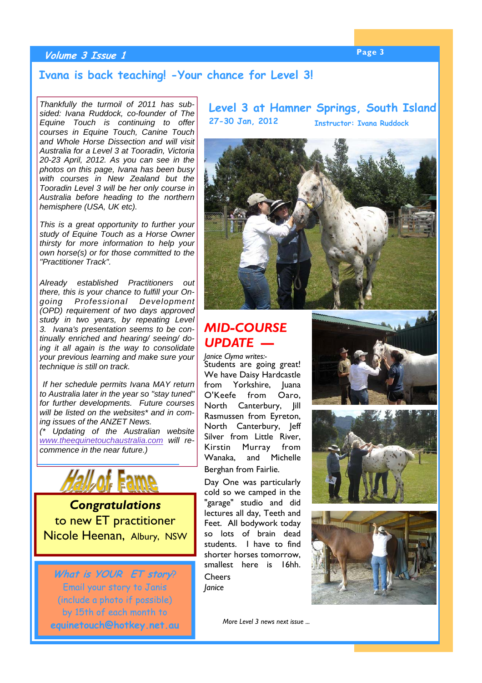# **Page 3 Volume 3 Issue 1**

#### **Ivana is back teaching! -Your chance for Level 3!**

*Thankfully the turmoil of 2011 has subsided: Ivana Ruddock, co-founder of The Equine Touch is continuing to offer courses in Equine Touch, Canine Touch and Whole Horse Dissection and will visit Australia for a Level 3 at Tooradin, Victoria 20-23 April, 2012. As you can see in the photos on this page, Ivana has been busy with courses in New Zealand but the Tooradin Level 3 will be her only course in Australia before heading to the northern hemisphere (USA, UK etc).* 

*This is a great opportunity to further your study of Equine Touch as a Horse Owner thirsty for more information to help your own horse(s) or for those committed to the "Practitioner Track".* 

*Already established Practitioners out there, this is your chance to fulfill your Ongoing Professional Development (OPD) requirement of two days approved study in two years, by repeating Level 3. Ivana's presentation seems to be continually enriched and hearing/ seeing/ doing it all again is the way to consolidate your previous learning and make sure your technique is still on track.*

 *If her schedule permits Ivana MAY return to Australia later in the year so "stay tuned" for further developments. Future courses will be listed on the websites\* and in coming issues of the ANZET News.* 

*(\* Updating of the Australian website www.theequinetouchaustralia.com will recommence in the near future.)*



*Congratulations*  to new ET practitioner Nicole Heenan, Albury, NSW

**What is YOUR ET story**? Email your story to Janis (include a photo if possible) by 15th of each month to **equinetouch@hotkey.net.au**  **Level 3 at Hamner Springs, South Island 27-30 Jan, 2012 Instructor: Ivana Ruddock**



# *MID-COURSE UPDATE —*

*Janice Clyma writes:-*  Students are going great! We have Daisy Hardcastle from Yorkshire. Iuana O'Keefe from Oaro, North Canterbury, Jill Rasmussen from Eyreton, North Canterbury, Jeff Silver from Little River, Kirstin Murray from Wanaka, and Michelle Berghan from Fairlie.

Day One was particularly cold so we camped in the "garage" studio and did lectures all day, Teeth and Feet. All bodywork today so lots of brain dead students. I have to find shorter horses tomorrow, smallest here is 16hh.

**Cheers** *Janice* 

*More Level 3 news next issue ...*